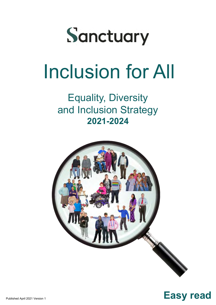

# Inclusion for All

Equality, Diversity and Inclusion Strategy **2021-2024**



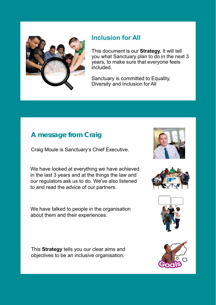

#### **Inclusion for All**

This document is our **Strategy.** It will tell you what Sanctuary plan to do in the next 3 years, to make sure that everyone feels included.

Sanctuary is committed to Equality, Diversity and Inclusion for All

### **A message from Craig**

Craig Moule is Sanctuary's Chief Executive.

We have looked at everything we have achieved in the last 3 years and at the things the law and our regulators ask us to do. We've also listened to and read the advice of our partners.

We have talked to people in the organisation about them and their experiences.

This **Strategy** tells you our clear aims and objectives to be an inclusive organisation.







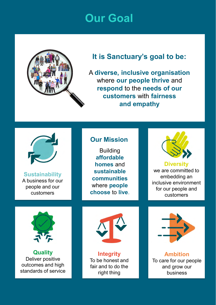## **Our Goal**



### **It is Sanctuary's goal to be:**

A **diverse, inclusive organisation** where **our people thrive** and **respond** to the **needs of our customers** with **fairness and empathy**



**Sustainability** A business for our people and our customers

#### **Our Mission**

**Building affordable homes** and **sustainable communities**  where **people choose** to **live**.



### **Diversity**

we are committed to embedding an inclusive environment for our people and customers



**Quality** Deliver positive outcomes and high standards of service



**Integrity** To be honest and fair and to do the right thing



**Ambition** To care for our people and grow our business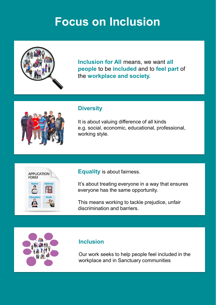# **Focus on Inclusion**



**Inclusion for All** means, we want **all people** to be **included** and to **feel part** of the **workplace and society.**

|--|

#### **Diversity**

It is about valuing difference of all kinds e.g. social, economic, educational, professional, working style.



**Equality** is about fairness.

It's about treating everyone in a way that ensures everyone has the same opportunity.

This means working to tackle prejudice, unfair discrimination and barriers.

#### **Inclusion**

Our work seeks to help people feel included in the workplace and in Sanctuary communities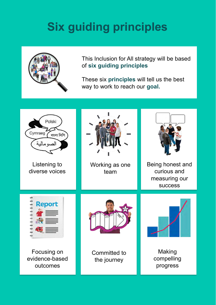# **Six guiding principles**



This Inclusion for All strategy will be based of **six guiding principles**

These six **principles** will tell us the best way to work to reach our **goal.**

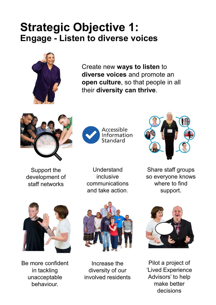### **Strategic Objective 1: Engage - Listen to diverse voices**



Create new **ways to listen** to **diverse voices** and promote an **open culture**, so that people in all their **diversity can thrive**.







Support the development of staff networks

Understand inclusive communications and take action.

Share staff groups so everyone knows where to find support.



Be more confident in tackling unacceptable behaviour.



Increase the diversity of our involved residents



Pilot a project of 'Lived Experience Advisors' to help make better decisions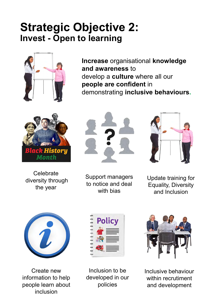## **Strategic Objective 2: Invest - Open to learning**



**Increase** organisational **knowledge and awareness** to develop a **culture** where all our **people are confident** in demonstrating **inclusive behaviours.**



**Celebrate** diversity through the year



Support managers to notice and deal with bias



Update training for Equality, Diversity and Inclusion



Create new information to help people learn about inclusion



Inclusion to be developed in our policies



Inclusive behaviour within recrutiment and development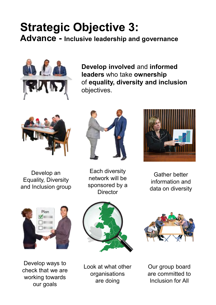### **Strategic Objective 3: Advance - Inclusive leadership and governance**



**Develop involved** and **informed leaders** who take **ownership** of **equality, diversity and inclusion**  objectives.



Develop an Equality, Diversity and Inclusion group



Each diversity network will be sponsored by a **Director** 



Gather better information and data on diversity



Develop ways to check that we are working towards our goals



Look at what other organisations are doing



Our group board are committed to Inclusion for All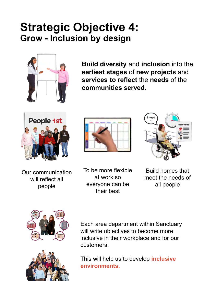### **Strategic Objective 4: Grow - Inclusion by design**



**Build diversity** and **inclusion** into the **earliest stages** of **new projects** and **services to reflect** the **needs** of the **communities served.**







Our communication will reflect all people

To be more flexible at work so everyone can be their best

Build homes that meet the needs of all people





Each area department within Sanctuary will write objectives to become more inclusive in their workplace and for our customers.

This will help us to develop **inclusive environments.**